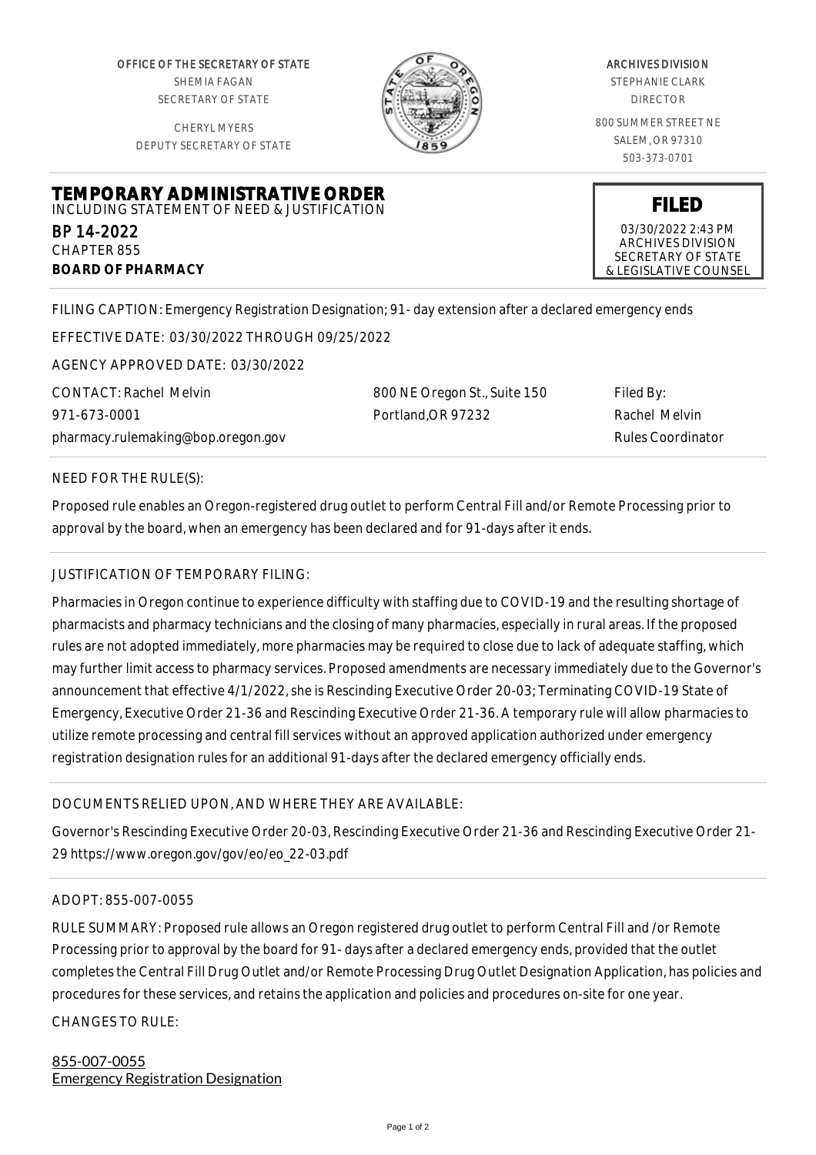OFFICE OF THE SECRETARY OF STATE SHEMIA FAGAN SECRETARY OF STATE

CHERYL MYERS DEPUTY SECRETARY OF STATE



#### ARCHIVES DIVISION STEPHANIE CLARK

DIRECTOR

800 SUMMER STREET NE SALEM, OR 97310 503-373-0701

**TEMPORARY ADMINISTRATIVE ORDER** INCLUDING STATEMENT OF NEED & JUSTIFICATION

BP 14-2022 CHAPTER 855 **BOARD OF PHARMACY**

03/30/2022 2:43 PM ARCHIVES DIVISION SECRETARY OF STATE

& LEGISLATIVE COUNSEL

**FILED**

FILING CAPTION: Emergency Registration Designation; 91- day extension after a declared emergency ends

EFFECTIVE DATE: 03/30/2022 THROUGH 09/25/2022

AGENCY APPROVED DATE: 03/30/2022

CONTACT: Rachel Melvin 971-673-0001 pharmacy.rulemaking@bop.oregon.gov 800 NE Oregon St., Suite 150 Portland,OR 97232

Filed By: Rachel Melvin Rules Coordinator

### NEED FOR THE RULE(S):

Proposed rule enables an Oregon-registered drug outlet to perform Central Fill and/or Remote Processing prior to approval by the board, when an emergency has been declared and for 91-days after it ends.

## JUSTIFICATION OF TEMPORARY FILING:

Pharmacies in Oregon continue to experience difficulty with staffing due to COVID-19 and the resulting shortage of pharmacists and pharmacy technicians and the closing of many pharmacies, especially in rural areas. If the proposed rules are not adopted immediately, more pharmacies may be required to close due to lack of adequate staffing, which may further limit access to pharmacy services. Proposed amendments are necessary immediately due to the Governor's announcement that effective 4/1/2022, she is Rescinding Executive Order 20-03; Terminating COVID-19 State of Emergency, Executive Order 21-36 and Rescinding Executive Order 21-36. A temporary rule will allow pharmacies to utilize remote processing and central fill services without an approved application authorized under emergency registration designation rules for an additional 91-days after the declared emergency officially ends.

# DOCUMENTS RELIED UPON, AND WHERE THEY ARE AVAILABLE:

Governor's Rescinding Executive Order 20-03, Rescinding Executive Order 21-36 and Rescinding Executive Order 21- 29 https://www.oregon.gov/gov/eo/eo\_22-03.pdf

#### ADOPT: 855-007-0055

RULE SUMMARY: Proposed rule allows an Oregon registered drug outlet to perform Central Fill and /or Remote Processing prior to approval by the board for 91- days after a declared emergency ends, provided that the outlet completes the Central Fill Drug Outlet and/or Remote Processing Drug Outlet Designation Application, has policies and procedures for these services, and retains the application and policies and procedures on-site for one year. CHANGES TO RULE:

# 855-007-0055 Emergency Registration Designation